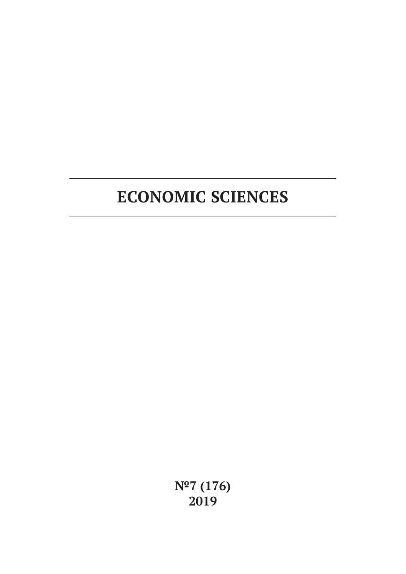# **ECONOMIC SCIENCES**

**№7 (176) 2019**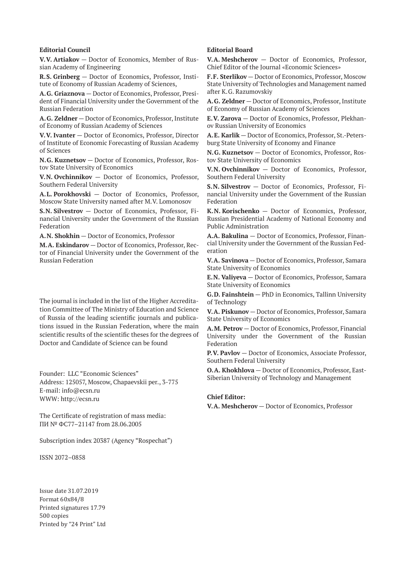#### **Editorial Council**

**V.V. Artiakov** — Doctor of Economics, Member of Russian Academy of Engineering

**R.S. Grinberg** — Doctor of Economics, Professor, Institute of Economy of Russian Academy of Sciences,

**A.G. Griaznova** — Doctor of Economics, Professor, President of Financial University under the Government of the Russian Federation

**A.G. Zeldner** — Doctor of Economics, Professor, Institute of Economy of Russian Academy of Sciences

**V.V. Ivanter** — Doctor of Economics, Professor, Director of Institute of Economic Forecasting of Russian Academy of Sciences

**N.G. Kuznetsov** — Doctor of Economics, Professor, Rostov State University of Economics

**V.N. Ovchinnikov** — Doctor of Economics, Professor, Southern Federal University

**A.L. Porokhovski** — Doctor of Economics, Professor, Moscow State University named after M.V. Lomonosov

**S.N. Silvestrov** — Doctor of Economics, Professor, Financial University under the Government of the Russian Federation

**A.N. Shokhin** — Doctor of Economics, Professor

**M.A. Eskindarov** — Doctor of Economics, Professor, Rector of Financial University under the Government of the Russian Federation

The journal is included in the list of the Higher Accreditation Committee of The Ministry of Education and Science of Russia of the leading scientific journals and publications issued in the Russian Federation, where the main scientific results of the scientific theses for the degrees of Doctor and Candidate of Science can be found

Founder: LLC "Economic Sciences" Address: 125057, Moscow, Chapaevskii per., 3-775 E-mail: info@ecsn.ru WWW: http://ecsn.ru

The Certificate of registration of mass media: ПИ № ФС77–21147 from 28.06.2005

Subscription index 20387 (Agency "Rospechat")

ISSN 2072–0858

Issue date 31.07.2019 Format 60х84/8 Printed signatures 17.79 500 copies Printed by "24 Print" Ltd

#### **Editorial Board**

**V.A. Meshcherov** — Doctor of Economics, Professor, Chief Editor of the Journal «Economic Sciences»

**F.F. Sterlikov** — Doctor of Economics, Professor, Moscow State University of Technologies and Management named after K.G. Razumovskiy

**A.G. Zeldner** — Doctor of Economics, Professor, Institute of Economy of Russian Academy of Sciences

**E.V. Zarova** — Doctor of Economics, Professor, Plekhanov Russian University of Economics

**A.E. Karlik** — Doctor of Economics, Professor, St.-Petersburg State University of Economy and Finance

**N.G. Kuznetsov** — Doctor of Economics, Professor, Rostov State University of Economics

**V.N. Ovchinnikov** — Doctor of Economics, Professor, Southern Federal University

**S.N. Silvestrov** — Doctor of Economics, Professor, Financial University under the Government of the Russian Federation

**K.N. Korischenko** — Doctor of Economics, Professor, Russian Presidential Academy of National Economy and Public Administration

**A.A. Bakulina** — Doctor of Economics, Professor, Financial University under the Government of the Russian Federation

**V.A. Savinova** — Doctor of Economics, Professor, Samara State University of Economics

**E.N. Valiyeva** — Doctor of Economics, Professor, Samara State University of Economics

**G.D. Fainshtein** — PhD in Economics, Tallinn University of Technology

**V.A. Piskunov** — Doctor of Economics, Professor, Samara State University of Economics

**A.M. Petrov** — Doctor of Economics, Professor, Financial University under the Government of the Russian Federation

**P.V. Pavlov** — Doctor of Economics, Associate Professor, Southern Federal University

**O.A. Khokhlova** — Doctor of Economics, Professor, East-Siberian University of Technology and Management

#### **Chief Editor:**

**V.A. Meshcherov** — Doctor of Economics, Professor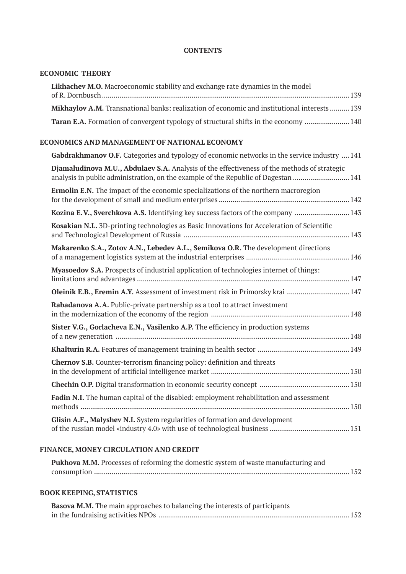## **CONTENTS**

## **ECONOMIC THEORY**

| Likhachev M.O. Macroeconomic stability and exchange rate dynamics in the model                      |  |
|-----------------------------------------------------------------------------------------------------|--|
|                                                                                                     |  |
| <b>Mikhaylov A.M.</b> Transnational banks: realization of economic and institutional interests  139 |  |
| Taran E.A. Formation of convergent typology of structural shifts in the economy  140                |  |

## **ECONOMICS AND MANAGEMENT OF NATIONAL ECONOMY**

| <b>Gabdrakhmanov O.F.</b> Categories and typology of economic networks in the service industry  141                                                                               |
|-----------------------------------------------------------------------------------------------------------------------------------------------------------------------------------|
| Djamaludinova M.U., Abdulaev S.A. Analysis of the effectiveness of the methods of strategic<br>analysis in public administration, on the example of the Republic of Dagestan  141 |
| <b>Ermolin E.N.</b> The impact of the economic specializations of the northern macroregion                                                                                        |
| Kozina E.V., Sverchkova A.S. Identifying key success factors of the company  143                                                                                                  |
| Kosakian N.L. 3D-printing technologies as Basic Innovations for Acceleration of Scientific                                                                                        |
| Makarenko S.A., Zotov A.N., Lebedev A.L., Semikova O.R. The development directions                                                                                                |
| Myasoedov S.A. Prospects of industrial application of technologies internet of things:                                                                                            |
| Oleinik E.B., Eremin A.Y. Assessment of investment risk in Primorsky krai  147                                                                                                    |
| Rabadanova A.A. Public-private partnership as a tool to attract investment                                                                                                        |
| Sister V.G., Gorlacheva E.N., Vasilenko A.P. The efficiency in production systems                                                                                                 |
|                                                                                                                                                                                   |
| <b>Chernov S.B.</b> Counter-terrorism financing policy: definition and threats                                                                                                    |
|                                                                                                                                                                                   |
| Fadin N.I. The human capital of the disabled: employment rehabilitation and assessment                                                                                            |
| Glisin A.F., Malyshev N.I. System regularities of formation and development                                                                                                       |

## **FINANCE, MONEY CIRCULATION AND CREDIT**

| Pukhova M.M. Processes of reforming the domestic system of waste manufacturing and |  |
|------------------------------------------------------------------------------------|--|
|                                                                                    |  |

## **BOOK KEEPING, STATISTICS**

| Basova M.M. The main approaches to balancing the interests of participants |  |
|----------------------------------------------------------------------------|--|
|                                                                            |  |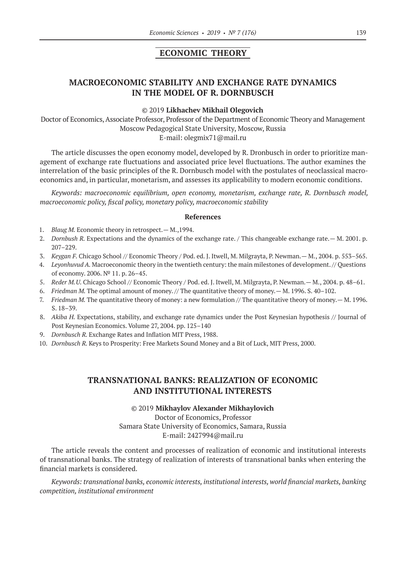## **ECONOMIC THEORY**

# **MACROECONOMIC STABILITY AND EXCHANGE RATE DYNAMICS IN THE MODEL OF R. DORNBUSCH**

#### ©© 2019 **Likhachev Mikhail Olegovich**

Doctor of Economics, Associate Professor, Professor of the Department of Economic Theory and Management Moscow Pedagogical State University, Moscow, Russia E‑mail: olegmix71@mail.ru

The article discusses the open economy model, developed by R. Dronbusch in order to prioritize management of exchange rate fluctuations and associated price level fluctuations. The author examines the interrelation of the basic principles of the R. Dornbusch model with the postulates of neoclassical macroeconomics and, in particular, monetarism, and assesses its applicability to modern economic conditions.

*Keywords: macroeconomic equilibrium, open economy, monetarism, exchange rate, R. Dornbusch model, macroeconomic policy, fiscal policy, monetary policy, macroeconomic stability*

#### **References**

- 1. *Blaug M.* Economic theory in retrospect. M., 1994.
- 2. *Dornbush R.* Expectations and the dynamics of the exchange rate. / This changeable exchange rate.— M. 2001. p. 207–229.
- 3. *Keygan F.* Chicago School // Economic Theory / Pod. ed. J. Itwell, M. Milgrayta, P. Newman.— M., 2004. p. 553–565.
- 4. *Leyonhuvud A.* Macroeconomic theory in the twentieth century: the main milestones of development. // Questions of economy. 2006. № 11. p. 26–45.
- 5. *Reder M.U.* Chicago School // Economic Theory / Pod. ed. J. Itwell, M. Milgrayta, P. Newman.— M., 2004. p. 48–61.
- 6. *Friedman M.* The optimal amount of money. // The quantitative theory of money.— M. 1996. S. 40–102.
- 7. *Friedman M.* The quantitative theory of money: a new formulation // The quantitative theory of money.— M. 1996. S. 18–39.
- 8. Akiba H. Expectations, stability, and exchange rate dynamics under the Post Keynesian hypothesis // Journal of Post Keynesian Economics. Volume 27, 2004. pp. 125–140
- 9. *Dornbusch R*. Exchange Rates and Inflation MIT Press, 1988.
- 10. *Dornbusch R.* Keys to Prosperity: Free Markets Sound Money and a Bit of Luck, MIT Press, 2000.

## **TRANSNATIONAL BANKS: REALIZATION OF ECONOMIC AND INSTITUTIONAL INTERESTS**

©© 2019 **Mikhaylov Alexander Mikhaylovich** Doctor of Economics, Professor Samara State University of Economics, Samara, Russia E‑mail: 2427994@mail.ru

The article reveals the content and processes of realization of economic and institutional interests of transnational banks. The strategy of realization of interests of transnational banks when entering the financial markets is considered.

*Keywords: transnational banks, economic interests, institutional interests, world financial markets, banking competition, institutional environment*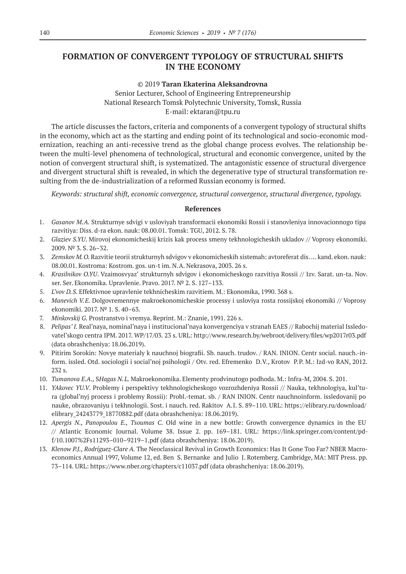# **FORMATION OF CONVERGENT TYPOLOGY OF STRUCTURAL SHIFTS IN THE ECONOMY**

#### ©© 2019 **Taran Ekaterina Aleksandrovna**

Senior Lecturer, School of Engineering Entrepreneurship National Research Tomsk Polytechnic University, Tomsk, Russia E‑mail: ektaran@tpu.ru

The article discusses the factors, criteria and components of a convergent typology of structural shifts in the economy, which act as the starting and ending point of its technological and socio-economic modernization, reaching an anti-recessive trend as the global change process evolves. The relationship between the multi-level phenomena of technological, structural and economic convergence, united by the notion of convergent structural shift, is systematized. The antagonistic essence of structural divergence and divergent structural shift is revealed, in which the degenerative type of structural transformation resulting from the de-industrialization of a reformed Russian economy is formed.

*Keywords: structural shift, economic convergence, structural convergence, structural divergence, typology.*

- 1. *Gasanov M.A.* Strukturnye sdvigi v usloviyah transformacii ekonomiki Rossii i stanovleniya innovacionnogo tipa razvitiya: Diss. d-ra ekon. nauk: 08.00.01. Tomsk: TGU, 2012. S. 78.
- 2. *Glaziev S.YU*. Mirovoj ekonomicheskij krizis kak process smeny tekhnologicheskih ukladov // Voprosy ekonomiki. 2009. № 3. S. 26–32.
- 3. *Zemskov M.O.* Razvitie teorii strukturnyh sdvigov v ekonomicheskih sistemah: avtoreferat dis. … kand. ekon. nauk: 08.00.01. Kostroma: Kostrom. gos. un-t im. N.A. Nekrasova, 2003. 26 s.
- 4. *Krasilnikov O.YU*. Vzaimosvyaz' strukturnyh sdvigov i ekonomicheskogo razvitiya Rossii // Izv. Sarat. un-ta. Nov. ser. Ser. Ekonomika. Upravlenie. Pravo. 2017. № 2. S. 127–133.
- 5. *L'vov D.S*. Effektivnoe upravlenie tekhnicheskim razvitiem. M.: Ekonomika, 1990. 368 s.
- 6. *Manevich V.E.* Dolgovremennye makroekonomicheskie processy i usloviya rosta rossijskoj ekonomiki // Voprosy ekonomiki. 2017. № 1. S. 40–63.
- 7. *Minkovskij G.* Prostranstvo i vremya. Reprint. M.: Znanie, 1991. 226 s.
- 8. *Pelipas' I.* Real'naya, nominal'naya i institucional'naya konvergenciya v stranah EAES // Rabochij material Issledovatel'skogo centra IPM. 2017. WP/17/03. 23 s. URL: http://www.research.by/webroot/delivery/files/wp2017r03.pdf (data obrashcheniya: 18.06.2019).
- 9. Pitirim Sorokin: Novye materialy k nauchnoj biografii. Sb. nauch. trudov. / RAN. INION. Centr social. nauch.-inform. issled. Otd. sociologii i social'noj psihologii / Otv. red. Efremenko D.V., Krotov P.P. M.: Izd-vo RAN, 2012. 232 s.
- 10. *Tumanova E.A.,* S*Hagas N.L.* Makroekonomika. Elementy prodvinutogo podhoda. M.: Infra-M, 2004. S. 201.
- 11. *YAkovec YU.V*. Problemy i perspektivy tekhnologicheskogo vozrozhdeniya Rossii // Nauka, tekhnologiya, kul'tura (global'nyj process i problemy Rossii): Probl.-temat. sb. / RAN INION. Centr nauchnoinform. issledovanij po nauke, obrazovaniyu i tekhnologii. Sost. i nauch. red. Rakitov A.I. S. 89–110. URL: https://elibrary.ru/download/ elibrary\_24243779\_18770882.pdf (data obrashcheniya: 18.06.2019).
- 12. *Apergis N., Panopoulou E., Tsoumas C.*  Old wine in a new bottle: Growth convergence dynamics in the EU // Atlantic Economic Journal. Volume 38. Issue 2. pp. 169–181. URL: https://link.springer.com/content/pdf/10.1007%2Fs11293–010–9219–1.pdf (data obrashcheniya: 18.06.2019).
- 13. *Klenow P.J., Rodríguez-Clare A.* The Neoclassical Revival in Growth Economics: Has It Gone Too Far? NBER Macroeconomics Annual 1997, Volume 12, ed. Ben S. Bernanke and Julio J. Rotemberg. Cambridge, MA: MIT Press. pp. 73–114. URL: https://www.nber.org/chapters/c11037.pdf (data obrashcheniya: 18.06.2019).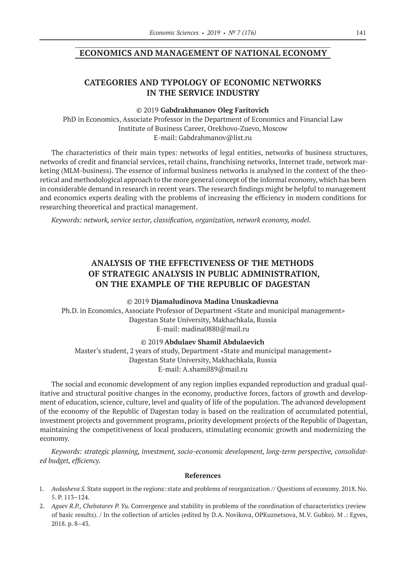## **ECONOMICS AND MANAGEMENT OF NATIONAL ECONOMY**

# **CATEGORIES AND TYPOLOGY OF ECONOMIC NETWORKS IN THE SERVICE INDUSTRY**

#### ©© 2019 **Gabdrakhmanov Oleg Faritovich**

PhD in Economics, Associate Professor in the Department of Economics and Financial Law Institute of Business Career, Orekhovo-Zuevo, Moscow E‑mail: Gabdrahmanov@list.ru

The characteristics of their main types: networks of legal entities, networks of business structures, networks of credit and financial services, retail chains, franchising networks, Internet trade, network marketing (MLM‑business). The essence of informal business networks is analysed in the context of the theoretical and methodological approach to the more general concept of the informal economy, which has been in considerable demand in research in recent years. The research findings might be helpful to management and economics experts dealing with the problems of increasing the efficiency in modern conditions for researching theoretical and practical management.

*Keywords: network, service sector, classification, organization, network economy, model.*

# **ANALYSIS OF THE EFFECTIVENESS OF THE METHODS OF STRATEGIC ANALYSIS IN PUBLIC ADMINISTRATION, ON THE EXAMPLE OF THE REPUBLIC OF DAGESTAN**

©© 2019 **Djamaludinova Madina Unuskadievna**

Ph.D. in Economics, Associate Professor of Department «State and municipal management» Dagestan State University, Makhachkala, Russia E-mail: madina0880@mail.ru

©© 2019 **Abdulaev Shamil Abdulaevich**

Master's student, 2 years of study, Department «State and municipal management» Dagestan State University, Makhachkala, Russia E‑mail: A.shamil89@mail.ru

The social and economic development of any region implies expanded reproduction and gradual qualitative and structural positive changes in the economy, productive forces, factors of growth and development of education, science, culture, level and quality of life of the population. The advanced development of the economy of the Republic of Dagestan today is based on the realization of accumulated potential, investment projects and government programs, priority development projects of the Republic of Dagestan, maintaining the competitiveness of local producers, stimulating economic growth and modernizing the economy.

*Keywords: strategic planning, investment, socio-economic development, long-term perspective, consolidated budget, efficiency.*

- 1. *Avdasheva S.* State support in the regions: state and problems of reorganization // Questions of economy. 2018. No. 5. P. 113–124.
- 2. *Agaev R.P., Chebotarev P. Yu.* Convergence and stability in problems of the coordination of characteristics (review of basic results). / In the collection of articles (edited by D.A. Novikova, OPKuznetsova, M.V. Gubko). M .: Egves, 2018. p. 8–43.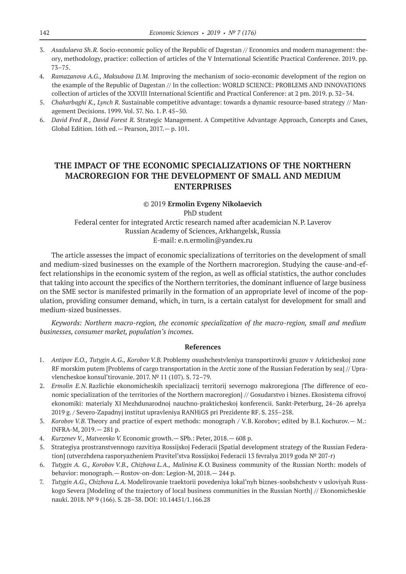- 3. *Asadulaeva Sh.R.* Socio-economic policy of the Republic of Dagestan // Economics and modern management: theory, methodology, practice: collection of articles of the V International Scientific Practical Conference. 2019. pp. 73–75.
- 4. *Ramazanova A.G., Maksubova D.M.* Improving the mechanism of socio-economic development of the region on the example of the Republic of Dagestan // In the collection: WORLD SCIENCE: PROBLEMS AND INNOVATIONS collection of articles of the XXVIII International Scientific and Practical Conference: at 2 pm. 2019. p. 32–34.
- 5. *Chaharbaghi K., Lynch R.* Sustainable competitive advantage: towards a dynamic resource-based strategy // Management Decisions. 1999. Vol. 37. No. 1. P. 45–50.
- 6. *David Fred R., David Forest R.* Strategic Management. A Competitive Advantage Approach, Concepts and Cases, Global Edition. 16th ed.— Pearson, 2017.— p. 101.

# **THE IMPACT OF THE ECONOMIC SPECIALIZATIONS OF THE NORTHERN MACROREGION FOR THE DEVELOPMENT OF SMALL AND MEDIUM ENTERPRISES**

# ©© 2019 **Ermolin Evgeny Nikolaevich**

PhD student Federal center for integrated Arctic research named after academician N.P. Laverov Russian Academy of Sciences, Arkhangelsk, Russia E‑mail: e.n.ermolin@yandex.ru

The article assesses the impact of economic specializations of territories on the development of small and medium-sized businesses on the example of the Northern macroregion. Studying the cause-and-effect relationships in the economic system of the region, as well as official statistics, the author concludes that taking into account the specifics of the Northern territories, the dominant influence of large business on the SME sector is manifested primarily in the formation of an appropriate level of income of the population, providing consumer demand, which, in turn, is a certain catalyst for development for small and medium-sized businesses.

*Keywords: Northern macro-region, the economic specialization of the macro-region, small and medium businesses, consumer market, population's incomes.*

- 1. *Antipov E.O., Tutygin A.G., Korobov V.B.* Problemy osushchestvleniya transportirovki gruzov v Arkticheskoj zone RF morskim putem [Problems of cargo transportation in the Arctic zone of the Russian Federation by sea] // Upravlencheskoe konsul'tirovanie. 2017. № 11 (107). S. 72–79.
- 2. *Ermolin E.N.* Razlichie ekonomicheskih specializacij territorij severnogo makroregiona [The difference of economic specialization of the territories of the Northern macroregion] // Gosudarstvo i biznes. Ekosistema cifrovoj ekonomiki: materialy XI Mezhdunarodnoj nauchno-prakticheskoj konferencii. Sankt-Peterburg, 24–26 aprelya 2019 g. / Severo-Zapadnyj institut upravleniya RANHiGS pri Prezidente RF. S. 255–258.
- 3. *Korobov V.B.* Theory and practice of expert methods: monograph / V.B. Korobov; edited by B.I. Kochurov.— M.: INFRA-M, 2019.— 281 p.
- 4. *Kurzenev V., Matveenko V.* Economic growth.— SPb.: Peter, 2018.— 608 p.
- 5. Strategiya prostranstvennogo razvitiya Rossijskoj Federacii [Spatial development strategy of the Russian Federation] (utverzhdena rasporyazheniem Pravitel'stva Rossijskoj Federacii 13 fevralya 2019 goda № 207-r)
- 6. *Tutygin A. G., Korobov V.B., Chizhova L.A., Malinina K.O.* Business community of the Russian North: models of behavior: monograph.— Rostov-on-don: Legion-M, 2018.— 244 p.
- 7. *Tutygin A.G., Chizhova L.A.* Modelirovanie traektorii povedeniya lokal'nyh biznes-soobshchestv v usloviyah Russkogo Severa [Modeling of the trajectory of local business communities in the Russian North] // Ekonomicheskie nauki. 2018. № 9 (166). S. 28–38. DOI: 10.14451/1.166.28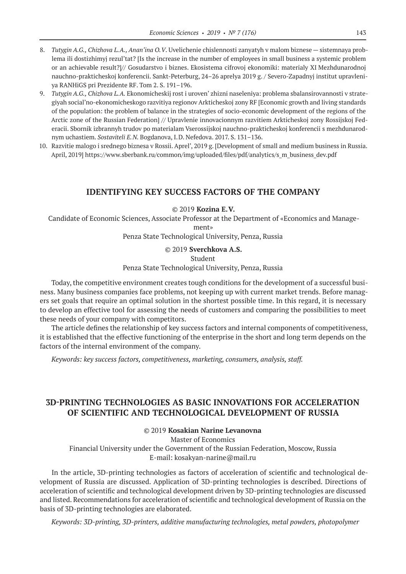- 8. *Tutygin A.G., Chizhova L.A., Anan'ina O.V*. Uvelichenie chislennosti zanyatyh v malom biznese sistemnaya problema ili dostizhimyj rezul'tat? [Is the increase in the number of employees in small business a systemic problem or an achievable result?]// Gosudarstvo i biznes. Ekosistema cifrovoj ekonomiki: materialy XI Mezhdunarodnoj nauchno-prakticheskoj konferencii. Sankt-Peterburg, 24–26 aprelya 2019 g. / Severo-Zapadnyj institut upravleniya RANHiGS pri Prezidente RF. Tom 2. S. 191–196.
- 9. *Tutygin A.G., Chizhova L.A.* Ekonomicheskij rost i uroven' zhizni naseleniya: problema sbalansirovannosti v strategiyah social'no-ekonomicheskogo razvitiya regionov Arkticheskoj zony RF [Economic growth and living standards of the population: the problem of balance in the strategies of socio-economic development of the regions of the Arctic zone of the Russian Federation] // Upravlenie innovacionnym razvitiem Arkticheskoj zony Rossijskoj Federacii. Sbornik izbrannyh trudov po materialam Vserossijskoj nauchno-prakticheskoj konferencii s mezhdunarodnym uchastiem. *Sostaviteli E.N.* Bogdanova, I.D. Nefedova. 2017. S. 131–136.
- 10. Razvitie malogo i srednego biznesa v Rossii. Aprel', 2019 g. [Development of small and medium business in Russia. April, 2019] https://www.sberbank.ru/common/img/uploaded/files/pdf/analytics/s\_m\_business\_dev.pdf

## **IDENTIFYING KEY SUCCESS FACTORS OF THE COMPANY**

©© 2019 **Kozina E.V.**

Candidate of Economic Sciences, Associate Professor at the Department of «Economics and Manage-

ment»

Penza State Technological University, Penza, Russia

©© 2019 **Sverchkova A.S.** Student Penza State Technological University, Penza, Russia

Today, the competitive environment creates tough conditions for the development of a successful business. Many business companies face problems, not keeping up with current market trends. Before managers set goals that require an optimal solution in the shortest possible time. In this regard, it is necessary to develop an effective tool for assessing the needs of customers and comparing the possibilities to meet these needs of your company with competitors.

The article defines the relationship of key success factors and internal components of competitiveness, it is established that the effective functioning of the enterprise in the short and long term depends on the factors of the internal environment of the company.

*Keywords: key success factors, competitiveness, marketing, consumers, analysis, staff.*

# **3D‑PRINTING TECHNOLOGIES AS BASIC INNOVATIONS FOR ACCELERATION OF SCIENTIFIC AND TECHNOLOGICAL DEVELOPMENT OF RUSSIA**

#### ©© 2019 **Kosakian Narine Levanovna**

Master of Economics

Financial University under the Government of the Russian Federation, Moscow, Russia E‑mail: kosakyan-narine@mail.ru

In the article, 3D‑printing technologies as factors of acceleration of scientific and technological development of Russia are discussed. Application of 3D‑printing technologies is described. Directions of acceleration of scientific and technological development driven by 3D‑printing technologies are discussed and listed. Recommendations for acceleration of scientific and technological development of Russia on the basis of 3D‑printing technologies are elaborated.

*Keywords: 3D‑printing, 3D‑printers, additive manufacturing technologies, metal powders, photopolymer*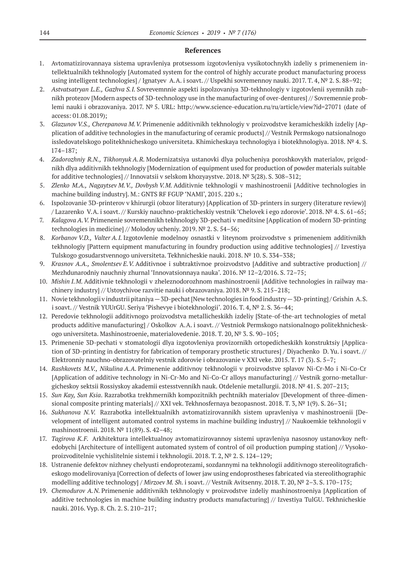- 1. Avtomatizirovannaya sistema upravleniya protsessom izgotovleniya vysikotochnykh izdeliy s primeneniem intellektualnikh tekhnologiy [Automated system for the control of highly accurate product manufacturing process using intelligent technologies] / Ignatyev A.A. i soavt. // Uspekhi sovremennoy nauki. 2017. T. 4, № 2. S. 88–92;
- 2. *Astvatsatryan L.E., Gazhva S.I.* Sovrevemnnie aspekti ispolzovaniya 3D‑tekhnologiy v izgotovlenii syemnikh zubnikh protezov [Modern aspects of 3D‑technology use in the manufacturing of over-dentures] // Sovremennie problemi nauki i obrazovaniya. 2017. № 5. URL: http://www.science-education.ru/ru/article/view?id=27071 (date of access: 01.08.2019);
- 3. *Glazunov V.S., Cherepanova M.V.* Primenenie additivnikh tekhnologiy v proizvodstve keramicheskikh izdeliy [Application of additive technologies in the manufacturing of ceramic products] // Vestnik Permskogo natsionalnogo issledovatelskogo politekhnicheskogo universiteta. Khimicheskaya technologiya i biotekhnologiya. 2018. № 4. S. 174–187;
- 4. *Zadorozhniy R.N., Tikhonyuk A.R.* Modernizatsiya ustanovki dlya polucheniya poroshkovykh materialov, prigodnikh dlya additivnikh tekhnologiy [Modernization of equipment used for production of powder materials suitable for additive technologies] // Innovatsii v selskom khozyaystve. 2018. № 3(28). S. 308–312;
- 5. *Zlenko M.A., Nagaytsev M.V., Dovbysh V.M.* Additivnie tekhnologii v mashinostroenii [Additive technologies in machine building industry]. M.: GNTS RF FGUP 'NAMI', 2015. 220 s.;
- 6. Ispolzovanie 3D‑printerov v khirurgii (obzor literatury) [Application of 3D‑printers in surgery (literature review)] / Lazarenko V.A. i soavt. // Kurskiy nauchno-prakticheskiy vestnik 'Chelovek i ego zdorovie'. 2018. № 4. S. 61–65;
- 7. *Kalagova A.V.* Primenenie sovremennikh tekhnologiy 3D‑pechati v meditsine [Application of modern 3D‑printing technologies in medicine] // Molodoy ucheniy. 2019. № 2. S. 54–56;
- 8. *Korbanov V.D., Valter A.I.* Izgotovlenie modelnoy osnastki v liteynom proizvodstve s primeneniem additivnikh tekhnologiy [Pattern equipment manufacturing in foundry production using additive technologies] // Izvestiya Tulskogo gosudarstvennogo universiteta. Tekhnicheskie nauki. 2018. № 10. S. 334–338;
- 9. *Krasnov A.A., Smolentsev E.V.* Additivnoe i subtraktivnoe proizvodstvo [Additive and subtractive production] // Mezhdunarodniy nauchniy zhurnal 'Innovatsionnaya nauka'. 2016. № 12–2/2016. S. 72–75;
- 10. *Mishin I.M.* Additivnie tekhnologii v zheleznodorozhnom mashinostroenii [Additive technologies in railway machinery industry] // Ustoychivoe razvitie nauki i obrazovaniya. 2018. № 9. S. 215–218;
- 11. Novie tekhnologii v industrii pitaniya—3D‑pechat [New technologies in food industry—3D‑printing] / Grishin A.S. i soavt. // Vestnik YUUrGU. Seriya 'Pishevye i biotekhnologii'. 2016. T. 4, № 2. S. 36–44;
- 12. Peredovie tekhnologii additivnogo proizvodstva metallicheskikh izdeliy [State-of-the-art technologies of metal products additive manufacturing] / Oskolkov A.A. i soavt. // Vestniok Permskogo natsionalnogo politekhnicheskogo universiteta. Mashinostroenie, materialovedenie. 2018. T. 20, № 3. S. 90–105;
- 13. Primenenie 3D‑pechati v stomatologii dlya izgotovleniya provizornikh ortopedicheskikh konstruktsiy [Application of 3D-printing in dentistry for fabrication of temporary prosthetic structures] / Diyachenko D. Yu. i soavt. // Elektronniy nauchno-obrazovatelniy vestnik zdorovie i obrazovanie v XXI veke. 2015. T. 17 (3). S. 5–7;
- 14. *Rashkovets M.V., Nikulina A.A.* Primenenie additivnoy tekhnologii v proizvodstve splavov Ni-Cr-Mo i Ni-Co-Cr [Application of additive technology in Ni-Cr-Mo and Ni-Co-Cr alloys manufacturing] // Vestnik gorno-metallurgicheskoy sektsii Rossiyskoy akademii estesstvennikh nauk. Otdelenie metallurgii. 2018. № 41. S. 207–213;
- 15. *Sun Kay, Sun Ksia*. Razrabotka trekhmernikh kompozitnikh pechtnikh materialov [Development of three-dimensional composite printing materials] // XXI vek. Tekhnosfernaya bezopasnost. 2018. T. 3,  $N^{\circ}$  1(9). S. 26–31;
- 16. *Sukhanova N.V.* Razrabotka intellektualnikh avtomatizirovannikh sistem upravleniya v mashinostroenii [Development of intelligent automated control systems in machine building industry] // Naukoemkie tekhnologii v mashinostroenii. 2018. № 11(89). S. 42–48;
- 17. *Tagirova K.F.* Arkhitektura intellektualnoy avtomatizirovannoy sistemi upravleniya nasosnoy ustanovkoy neftedobychi [Architecture of intelligent automated system of control of oil production pumping station] // Vysokoproizvoditelnie vychislitelnie sistemi i tekhnologii. 2018. T. 2, № 2. S. 124–129;
- 18. Ustranenie defektov nizhney chelyusti endoprotezami, sozdannymi na tekhnologii additivnogo stereolitograficheskogo modelirovaniya [Correction of defects of lower jaw using endoprostheses fabricated via stereolithographic modelling additive technology] / *Mirzoev M. Sh.* i soavt. // Vestnik Avitsenny. 2018. T. 20, № 2–3. S. 170–175;
- 19. *Chemodurov A.N.* Primenenie additivnikh tekhnologiy v proizvodstve izdeliy mashinostroeniya [Application of additive technologies in machine building industry products manufacturing] // Izvestiya TulGU. Tekhnicheskie nauki. 2016. Vyp. 8. Ch. 2. S. 210–217;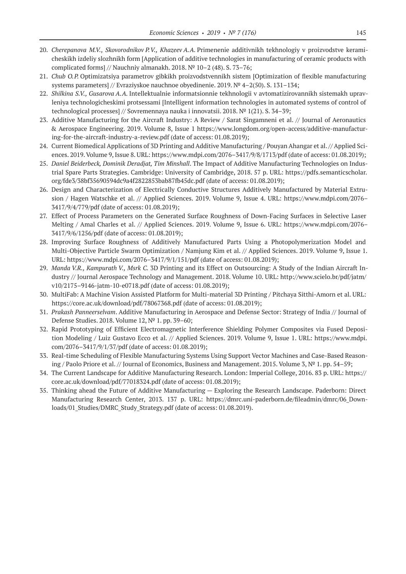- 20. *Cherepanova M.V., Skovorodnikov P.V., Khazeev A.A.* Primenenie additivnikh tekhnologiy v proizvodstve keramicheskikh izdeliy slozhnikh form [Application of additive technologies in manufacturing of ceramic products with complicated forms] // Nauchniy almanakh. 2018. № 10–2 (48). S. 73–76;
- 21. *Chub O.P.* Optimizatsiya parametrov gibkikh proizvodstvennikh sistem [Optimization of flexible manufacturing systems parameters] // Evraziyskoe nauchnoe obyedinenie. 2019. № 4–2(50). S. 131–134;
- 22. *Shilkina S.V., Gusarova A.A.* Intellektualnie informatsionnie tekhnologii v avtomatizirovannikh sistemakh upravleniya technologicheskimi protsessami [Intelligent information technologies in automated systems of control of technological processes] // Sovremennaya nauka i innovatsii. 2018. № 1(21). S. 34–39;
- 23. Additive Manufacturing for the Aircraft Industry: A Review / Sarat Singamneni et al. // Journal of Aeronautics & Aerospace Engineering. 2019. Volume 8, Issue 1 https://www.longdom.org/open-access/additive-manufacturing-for-the-aircraft-industry-a-review.pdf (date of access: 01.08.2019);
- 24. Current Biomedical Applications of 3D Printing and Additive Manufacturing / Pouyan Ahangar et al. // Applied Sciences. 2019. Volume 9, Issue 8. URL: https://www.mdpi.com/2076–3417/9/8/1713/pdf (date of access: 01.08.2019);
- 25. *Daniel Beiderbeck, Dominik Deradjat, Tim Minshall*. The Impact of Additive Manufacturing Technologies on Industrial Spare Parts Strategies. Cambridge: University of Cambridge, 2018. 57 p. URL: https://pdfs.semanticscholar. org/fde3/38bf35690594dc9a4f2822853bab87fb45dc.pdf (date of access: 01.08.2019);
- 26. Design and Characterization of Electrically Conductive Structures Additively Manufactured by Material Extrusion / Hagen Watschke et al. // Applied Sciences. 2019. Volume 9, Issue 4. URL: https://www.mdpi.com/2076– 3417/9/4/779/pdf (date of access: 01.08.2019);
- 27. Effect of Process Parameters on the Generated Surface Roughness of Down-Facing Surfaces in Selective Laser Melting / Amal Charles et al. // Applied Sciences. 2019. Volume 9, Issue 6. URL: https://www.mdpi.com/2076– 3417/9/6/1256/pdf (date of access: 01.08.2019);
- 28. Improving Surface Roughness of Additively Manufactured Parts Using a Photopolymerization Model and Multi-Objective Particle Swarm Optimization / Namjung Kim et al. // Applied Sciences. 2019. Volume 9, Issue 1. URL: https://www.mdpi.com/2076–3417/9/1/151/pdf (date of access: 01.08.2019);
- 29. *Manda V.R., Kampurath V., Msrk C.* 3D Printing and its Effect on Outsourcing: A Study of the Indian Aircraft Industry // Journal Aerospace Technology and Management. 2018. Volume 10. URL: http://www.scielo.br/pdf/jatm/ v10/2175–9146-jatm‑10-e0718.pdf (date of access: 01.08.2019);
- 30. MultiFab: A Machine Vision Assisted Platform for Multi-material 3D Printing / Pitchaya Sitthi-Amorn et al. URL: https://core.ac.uk/download/pdf/78067368.pdf (date of access: 01.08.2019);
- 31. *Prakash Panneerselvam*. Additive Manufacturing in Aerospace and Defense Sector: Strategy of India // Journal of Defense Studies. 2018. Volume 12, № 1. pp. 39–60;
- 32. Rapid Prototyping of Efficient Electromagnetic Interference Shielding Polymer Composites via Fused Deposition Modeling / Luiz Gustavo Ecco et al. // Applied Sciences. 2019. Volume 9, Issue 1. URL: https://www.mdpi. com/2076–3417/9/1/37/pdf (date of access: 01.08.2019);
- 33. Real-time Scheduling of Flexible Manufacturing Systems Using Support Vector Machines and Case-Based Reasoning / Paolo Priore et al. // Journal of Economics, Business and Management. 2015. Volume 3, № 1. pp. 54–59;
- 34. The Current Landscape for Additive Manufacturing Research. London: Imperial College, 2016. 83 p. URL: https:// core.ac.uk/download/pdf/77018324.pdf (date of access: 01.08.2019);
- 35. Thinking ahead the Future of Additive Manufacturing Exploring the Research Landscape. Paderborn: Direct Manufacturing Research Center, 2013. 137 p. URL: https://dmrc.uni-paderborn.de/fileadmin/dmrc/06\_Downloads/01\_Studies/DMRC\_Study\_Strategy.pdf (date of access: 01.08.2019).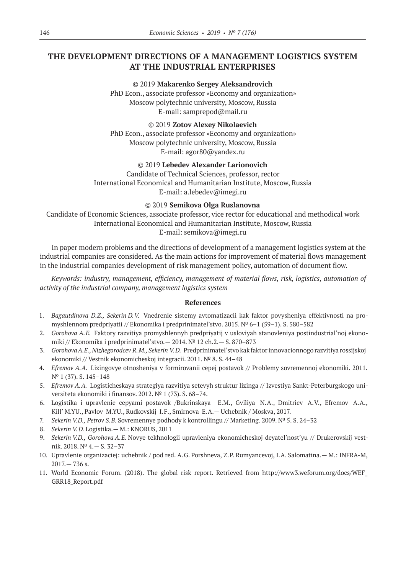# **THE DEVELOPMENT DIRECTIONS OF A MANAGEMENT LOGISTICS SYSTEM AT THE INDUSTRIAL ENTERPRISES**

#### ©© 2019 **Makarenko Sergey Aleksandrovich**

PhD Econ., associate professor «Economy and organization» Moscow polytechnic university, Moscow, Russia E‑mail: samprepod@mail.ru

## ©© 2019 **Zotov Alexey Nikolaevich**

PhD Econ., associate professor «Economy and organization» Moscow polytechnic university, Moscow, Russia E‑mail: agor80@yandex.ru

## ©© 2019 **Lebedev Alexander Larionovich**

Candidate of Technical Sciences, professor, rector International Economical and Humanitarian Institute, Moscow, Russia E‑mail: a.lebedev@imegi.ru

### ©© 2019 **Semikova Olga Ruslanovna**

Candidate of Economic Sciences, associate professor, vice rector for educational and methodical work International Economical and Humanitarian Institute, Moscow, Russia E‑mail: semikova@imegi.ru

In paper modern problems and the directions of development of a management logistics system at the industrial companies are considered. As the main actions for improvement of material flows management in the industrial companies development of risk management policy, automation of document flow.

*Keywords: industry, management, efficiency, management of material flows, risk, logistics, automation of activity of the industrial company, management logistics system*

- 1. *Bagautdinova D.Z., Sekerin D.V.* Vnedrenie sistemy avtomatizacii kak faktor povysheniya effektivnosti na promyshlennom predpriyatii // Ekonomika i predprinimatel'stvo. 2015. № 6–1 (59–1). S. 580–582
- 2. *Gorohova A.E.* Faktory razvitiya promyshlennyh predpriyatij v usloviyah stanovleniya postindustrial'noj ekonomiki // Ekonomika i predprinimatel'stvo.— 2014. № 12 ch.2.— S. 870–873
- 3. *Gorohova A.E., Nizhegorodcev R.M., Sekerin V.D.* Predprinimatel'stvo kak faktor innovacionnogo razvitiya rossijskoj ekonomiki // Vestnik ekonomicheskoj integracii. 2011. № 8. S. 44–48
- 4. *Efremov A.A.* Lizingovye otnosheniya v formirovanii cepej postavok // Problemy sovremennoj ekonomiki. 2011. № 1 (37). S. 145–148
- 5. *Efremov A.A.* Logisticheskaya strategiya razvitiya setevyh struktur lizinga // Izvestiya Sankt-Peterburgskogo universiteta ekonomiki i finansov. 2012. № 1 (73). S. 68–74.
- 6. Logistika i upravlenie cepyami postavok /Bukrinskaya E.M., Gviliya N.A., Dmitriev A.V., Efremov A.A., Kill' M.YU., Pavlov M.YU., Rudkovskij I.F., Smirnova E.A.— Uchebnik / Moskva, 2017.
- 7. *Sekerin V.D., Petrov S.B.* Sovremennye podhody k kontrollingu // Marketing. 2009. № 5. S. 24–32
- 8. *Sekerin V.D.* Logistika.— M.: KNORUS, 2011
- 9. *Sekerin V.D., Gorohova A.E.* Novye tekhnologii upravleniya ekonomicheskoj deyatel'nost'yu // Drukerovskij vestnik. 2018. № 4.— S. 32–37
- 10. Upravlenie organizaciej: uchebnik / pod red. A.G. Porshneva, Z.P. Rumyancevoj, I.A. Salomatina.— M.: INFRA-M, 2017.— 736 s.
- 11. World Economic Forum. (2018). The global risk report. Retrieved from http://www3.weforum.org/docs/WEF\_ GRR18\_Report.pdf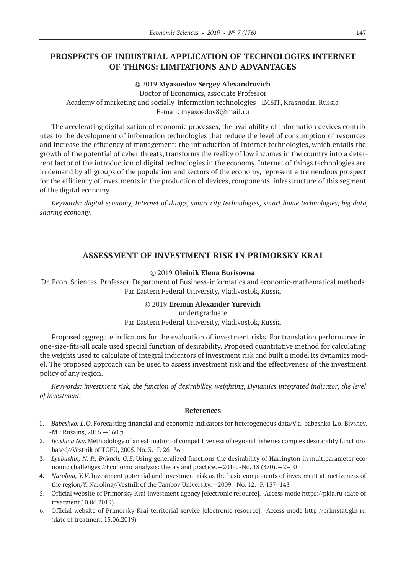# **PROSPECTS OF INDUSTRIAL APPLICATION OF TECHNOLOGIES INTERNET OF THINGS: LIMITATIONS AND ADVANTAGES**

#### ©© 2019 **Myasoedov Sergey Alexandrovich**

Doctor of Economics, associate Professor Academy of marketing and socially-information technologies - IMSIT, Krasnodar, Russia E-mail: myasoedov8@mail.ru

The accelerating digitalization of economic processes, the availability of information devices contributes to the development of information technologies that reduce the level of consumption of resources and increase the efficiency of management; the introduction of Internet technologies, which entails the growth of the potential of cyber threats, transforms the reality of low incomes in the country into a deterrent factor of the introduction of digital technologies in the economy. Internet of things technologies are in demand by all groups of the population and sectors of the economy, represent a tremendous prospect for the efficiency of investments in the production оf devices, components, infrastructure of this segment of the digital economy.

*Keywords: digital economy, Internet of things, smart city technologies, smart home technologies, big data, sharing economy.*

## **ASSESSMENT OF INVESTMENT RISK IN PRIMORSKY KRAI**

### ©© 2019 **Oleinik Elena Borisovna**

Dr. Econ. Sciences, Professor, Department of Business-informatics and economic-mathematical methods Far Eastern Federal University, Vladivostok, Russia

#### ©© 2019 **Eremin Alexander Yurevich**

#### undertgraduate

## Far Eastern Federal University, Vladivostok, Russia

Proposed aggregate indicators for the evaluation of investment risks. For translation performance in one-size-fits-all scale used special function of desirability. Proposed quantitative method for calculating the weights used to calculate of integral indicators of investment risk and built a model its dynamics model. The proposed approach can be used to assess investment risk and the effectiveness of the investment policy of any region.

*Keywords: investment risk, the function of desirability, weighting, Dynamics integrated indicator, the level of investment.*

- 1. *Babeshko, L.O*. Forecasting financial and economic indicators for heterogeneous data/V.a. babeshko L.o. Bivshev. -M.: Rusajns, 2016.—560 p.
- 2. *Ivashina N.*v. Methodology of an estimation of competitiveness of regional fisheries complex desirability functions based//Vestnik of TGEU, 2005. No. 3. -P. 26–36
- 3. *Lyubushin, N. P., Brikach. G.E.* Using generalized functions the desirability of Harrington in multiparameter economic challenges //Economic analysis: theory and practice.—2014. -No. 18 (370).—2–10
- 4. *Narolina, Y.V*. Investment potential and investment risk as the basic components of investment attractiveness of the region/Y. Narolina//Vestnik of the Tambov University.—2009. -No. 12. -P. 137–143
- 5. Official website of Primorsky Krai investment agency [electronic resource]. -Access mode https://pkia.ru (date of treatment 10.06.2019)
- 6. Official website of Primorsky Krai territorial service [electronic resource]. -Access mode http://primstat.gks.ru (date of treatment 15.06.2019)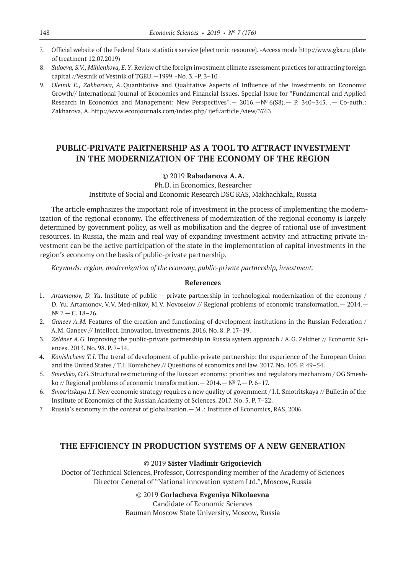- 7. Official website of the Federal State statistics service [electronic resource]. -Access mode http://www.gks.ru (date of treatment 12.07.2019)
- 8. *Suloeva, S.V., Mihienkova, E.Y*. Review of the foreign investment climate assessment practices for attracting foreign capital //Vestnik of Vestnik of TGEU.—1999. -No. 3. -P. 3–10
- 9. *Oleinik E., Zakharova, A*. Quantitative and Qualitative Aspects of Influence of the Investments on Economic Growth// International Journal of Economics and Financial Issues. Special Issue for "Fundamental and Applied Research in Economics and Management: New Perspectives".— 2016.—№ 6(S8).— Р. 340–345. .— Co-auth.: Zakharova, A. http://www.econjournals.com/index.php/ ijefi/article /view/3763

# **PUBLIC-PRIVATE PARTNERSHIP AS A TOOL TO ATTRACT INVESTMENT IN THE MODERNIZATION OF THE ECONOMY OF THE REGION**

## ©© 2019 **Rabadanova A.A.**

Ph.D. in Economics, Researcher Institute of Social and Economic Research DSC RAS, Makhachkala, Russia

The article emphasizes the important role of investment in the process of implementing the modernization of the regional economy. The effectiveness of modernization of the regional economy is largely determined by government policy, as well as mobilization and the degree of rational use of investment resources. In Russia, the main and real way of expanding investment activity and attracting private investment can be the active participation of the state in the implementation of capital investments in the region's economy on the basis of public-private partnership.

*Keywords: region, modernization of the economy, public-private partnership, investment.*

#### **References**

- 1. *Artamonov, D. Yu*. Institute of public private partnership in technological modernization of the economy / D. Yu. Artamonov, V.V. Med-nikov, M.V. Novoselov // Regional problems of economic transformation.— 2014.— № 7.— C. 18–26.
- 2. *Ganeev A.M.* Features of the creation and functioning of development institutions in the Russian Federation / A.M. Ganeev // Intellect. Innovation. Investments. 2016. No. 8. P. 17–19.
- 3. *Zeldner A.G.* Improving the public-private partnership in Russia system approach / A.G. Zeldner // Economic Sciences. 2013. No. 98. P. 7–14.
- 4. *Konishcheva T.I.* The trend of development of public-private partnership: the experience of the European Union and the United States / T.I. Konishchev // Questions of economics and law. 2017. No. 105. P. 49–54.
- 5. *Smeshko, O.G*. Structural restructuring of the Russian economy: priorities and regulatory mechanism / OG Smeshko // Regional problems of economic transformation.—  $2014.$ —  $N^2$  7.— P. 6–17.
- 6. *Smotritskaya I.I.* New economic strategy requires a new quality of government / I.I. Smotritskaya // Bulletin of the Institute of Economics of the Russian Academy of Sciences. 2017. No. 5. P. 7–22.
- 7. Russia's economy in the context of globalization.— M .: Institute of Economics, RAS, 2006

## **THE EFFICIENCY IN PRODUCTION SYSTEMS OF A NEW GENERATION**

#### ©© 2019 **Sister Vladimir Grigorievich**

Doctor of Technical Sciences, Professor, Corresponding member of the Academy of Sciences Director General of "National innovation system Ltd.", Moscow, Russia

#### ©© 2019 **Gorlacheva Evgeniya Nikolaevna**

Candidate of Economic Sciences Bauman Moscow State University, Moscow, Russia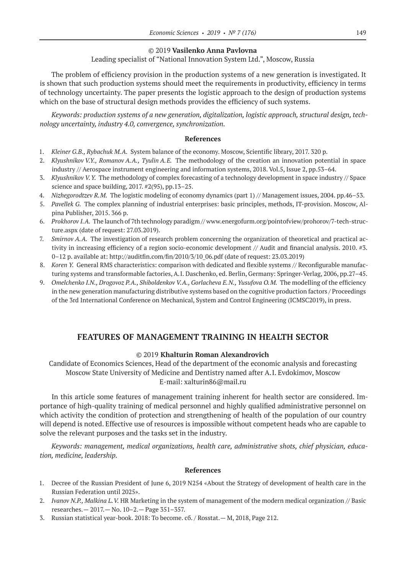### ©© 2019 **Vasilenko Anna Pavlovna**

## Leading specialist of "National Innovation System Ltd.", Moscow, Russia

The problem of efficiency provision in the production systems of a new generation is investigated. It is shown that such production systems should meet the requirements in productivity, efficiency in terms of technology uncertainty. The paper presents the logistic approach to the design of production systems which on the base of structural design methods provides the efficiency of such systems.

*Keywords: production systems of a new generation, digitalization, logistic approach, structural design, technology uncertainty, industry 4.0, convergence, synchronization.*

#### **References**

- 1. *Kleiner G.B., Rybachuk M.A.* System balance of the economy. Moscow, Scientific library, 2017. 320 p.
- 2. *Klyushnikov V.Y., Romanov A.A., Tyulin A.E.* The methodology of the creation an innovation potential in space industry // Aerospace instrument engineering and information systems, 2018. Vol.5, Issue 2, pp.53–64.
- 3. *Klyushnikov V.Y.* The methodology of complex forecasting of a technology development in space industry // Space science and space building, 2017. #2(95), pp.13–25.
- 4. *Nizhegorodtzev R.M.* The logistic modeling of economy dynamics (part 1) // Management issues, 2004. pp.46–53.
- 5. *Pavellek G.* The complex planning of industrial enterprises: basic principles, methods, IT‑provision. Moscow, Alpina Publisher, 2015. 366 p.
- 6. *Prokhorov I.A.* The launch of 7th technology paradigm // www.energofurm.org/pointofview/prohorov/7-tech-structure.aspx (date of request: 27.03.2019).
- 7. *Smirnov A.A.* The investigation of research problem concerning the organization of theoretical and practical activity in increasing efficiency of a region socio-economic development // Audit and financial analysis. 2010. #3. 0–12 p. available at: http://auditfin.com/fin/2010/3/10\_06.pdf (date of request: 23.03.2019)
- 8. *Koren Y.* General RMS characteristics: comparison with dedicated and flexible systems // Reconfigurable manufacturing systems and transformable factories, A.I. Daschenko, ed. Berlin, Germany: Springer-Verlag, 2006, pp.27–45.
- 9. *Omelchenko I.N., Drogovoz P.A., Shiboldenkov V.A., Gorlacheva E.N., Yusufova O.M.* The modelling of the efficiency in the new generation manufacturing distributive systems based on the cognitive production factors / Proceedings of the 3rd International Conference on Mechanical, System and Control Engineering (ICMSC2019), in press.

## **FEATURES OF MANAGEMENT TRAINING IN HEALTH SECTOR**

### ©© 2019 **Khalturin Roman Alexandrovich**

Candidate of Economics Sciences, Head of the department of the economic analysis and forecasting Moscow State University of Medicine and Dentistry named after A.I. Evdokimov, Moscow E‑mail: xalturin86@mail.ru

In this article some features of management training inherent for health sector are considered. Importance of high-quality training of medical personnel and highly qualified administrative personnel on which activity the condition of protection and strengthening of health of the population of our country will depend is noted. Effective use of resources is impossible without competent heads who are capable to solve the relevant purposes and the tasks set in the industry.

*Keywords: management, medical organizations, health care, administrative shots, chief physician, education, medicine, leadership.*

- 1. Decree of the Russian President of June 6, 2019 N254 «About the Strategy of development of health care in the Russian Federation until 2025».
- 2. *Ivanov N.P., Malkina L.V.* HR Marketing in the system of management of the modern medical organization // Basic researches.— 2017.— No. 10–2.— Page 351–357.
- 3. Russian statistical year-book. 2018: To become. сб. / Rosstat.— M, 2018, Page 212.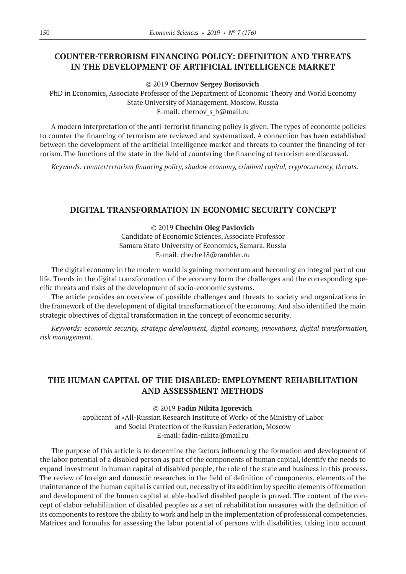## **COUNTER-TERRORISM FINANCING POLICY: DEFINITION AND THREATS IN THE DEVELOPMENT OF ARTIFICIAL INTELLIGENCE MARKET**

©© 2019 **Chernov Sergey Borisovich**

PhD in Economics, Associate Professor of the Department of Economic Theory and World Economy State University of Management, Moscow, Russia E-mail: chernov s b@mail.ru

A modern interpretation of the anti-terrorist financing policy is given. The types of economic policies to counter the financing of terrorism are reviewed and systematized. A connection has been established between the development of the artificial intelligence market and threats to counter the financing of terrorism. The functions of the state in the field of countering the financing of terrorism are discussed.

*Keywords: counterterrorism financing policy, shadow economy, criminal capital, cryptocurrency, threats.*

## **DIGITAL TRANSFORMATION IN ECONOMIC SECURITY CONCEPT**

#### ©© 2019 **Chechin Oleg Pavlovich**

Candidate of Economic Sciences, Associate Professor Samara State University of Economics, Samara, Russia E‑mail: cheche18@rambler.ru

The digital economy in the modern world is gaining momentum and becoming an integral part of our life. Trends in the digital transformation of the economy form the challenges and the corresponding specific threats and risks of the development of socio-economic systems.

The article provides an overview of possible challenges and threats to society and organizations in the framework of the development of digital transformation of the economy. And also identified the main strategic objectives of digital transformation in the concept of economic security.

*Keywords: economic security, strategic development, digital economy, innovations, digital transformation, risk management.*

## **THE HUMAN CAPITAL OF THE DISABLED: EMPLOYMENT REHABILITATION AND ASSESSMENT METHODS**

#### ©© 2019 **Fadin Nikita Igorevich**

applicant of «All-Russian Research Institute of Work» of the Ministry of Labor and Social Protection of the Russian Federation, Moscow E‑mail: fadin-nikita@mail.ru

The purpose of this article is to determine the factors influencing the formation and development of the labor potential of a disabled person as part of the components of human capital, identify the needs to expand investment in human capital of disabled people, the role of the state and business in this process. The review of foreign and domestic researches in the field of definition of components, elements of the maintenance of the human capital is carried out, necessity of its addition by specific elements of formation and development of the human capital at able-bodied disabled people is proved. The content of the concept of «labor rehabilitation of disabled people» as a set of rehabilitation measures with the definition of its components to restore the ability to work and help in the implementation of professional competencies. Matrices and formulas for assessing the labor potential of persons with disabilities, taking into account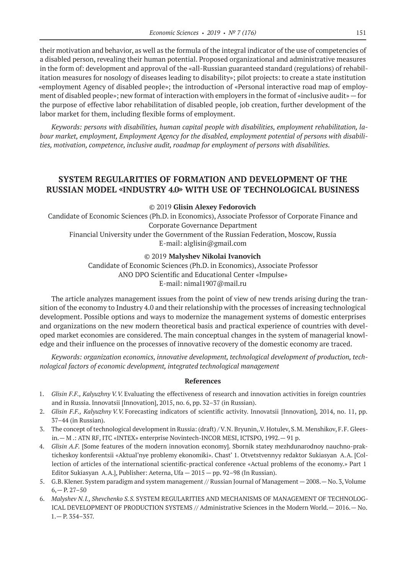their motivation and behavior, as well as the formula of the integral indicator of the use of competencies of a disabled person, revealing their human potential. Proposed organizational and administrative measures in the form of: development and approval of the «all-Russian guaranteed standard (regulations) of rehabilitation measures for nosology of diseases leading to disability»; pilot projects: to create a state institution «employment Agency of disabled people»; the introduction of «Personal interactive road map of employment of disabled people»; new format of interaction with employers in the format of «inclusive audit»—for the purpose of effective labor rehabilitation of disabled people, job creation, further development of the labor market for them, including flexible forms of employment.

*Keywords: persons with disabilities, human capital people with disabilities, employment rehabilitation, labour market, employment, Employment Agency for the disabled, employment potential of persons with disabilities, motivation, competence, inclusive audit, roadmap for employment of persons with disabilities.*

# **SYSTEM REGULARITIES OF FORMATION AND DEVELOPMENT OF THE RUSSIAN MODEL «INDUSTRY 4.0» WITH USE OF TECHNOLOGICAL BUSINESS**

©© 2019 **Glisin Alexey Fedorovich**

Candidate of Economic Sciences (Ph.D. in Economics), Associate Professor of Corporate Finance and Corporate Governance Department

Financial University under the Government of the Russian Federation, Moscow, Russia E-mail: alglisin@gmail.com

©© 2019 **Malyshev Nikolai Ivanovich**

Candidate of Economic Sciences (Ph.D. in Economics), Associate Professor ANO DPO Scientific and Educational Center «Impulse» E‑mail: nimal1907@mail.ru

The article analyzes management issues from the point of view of new trends arising during the transition of the economy to Industry 4.0 and their relationship with the processes of increasing technological development. Possible options and ways to modernize the management systems of domestic enterprises and organizations on the new modern theoretical basis and practical experience of countries with developed market economies are considered. The main conceptual changes in the system of managerial knowledge and their influence on the processes of innovative recovery of the domestic economy are traced.

*Keywords: organization economics, innovative development, technological development of production, technological factors of economic development, integrated technological management*

- 1. *Glisin F.F., Kalyuzhny V.V.* Evaluating the effectiveness of research and innovation activities in foreign countries and in Russia. Innovatsii [Innovation], 2015, no. 6, pp. 32–37 (in Russian).
- 2. *Glisin F.F., Kalyuzhny V.V.* Forecasting indicators of scientific activity. Innovatsii [Innovation], 2014, no. 11, pp. 37–44 (in Russian).
- 3. The concept of technological development in Russia: (draft) / V.N. Bryunin,.V. Hotulev, S.M. Menshikov, F.F. Gleesin.— M .: ATN RF, ITC «INTEX» enterprise Novintech-INCOR MESI, ICTSPO, 1992.— 91 p.
- 4. *Glisin A.F.* [Some features of the modern innovation economy]. Sbornik statey mezhdunarodnoy nauchno-prakticheskoy konferentsii «Aktual'nye problemy ekonomiki». Chast' 1. Otvetstvennyy redaktor Sukiasyan A.A. [Collection of articles of the international scientific-practical conference «Actual problems of the economy.» Part 1 Editor Sukiasyan A.A.], Publisher: Aeterna, Ufa — 2015 — pp. 92–98 (In Russian).
- 5. G.B. Klener. System paradigm and system management // Russian Journal of Management 2008.— No. 3, Volume  $6, -P. 27-50$
- 6. *Malyshev N.I., Shevchenko S.S.* SYSTEM REGULARITIES AND MECHANISMS OF MANAGEMENT OF TECHNOLOG-ICAL DEVELOPMENT OF PRODUCTION SYSTEMS // Administrative Sciences in the Modern World.— 2016.— No. 1.— P. 354–357.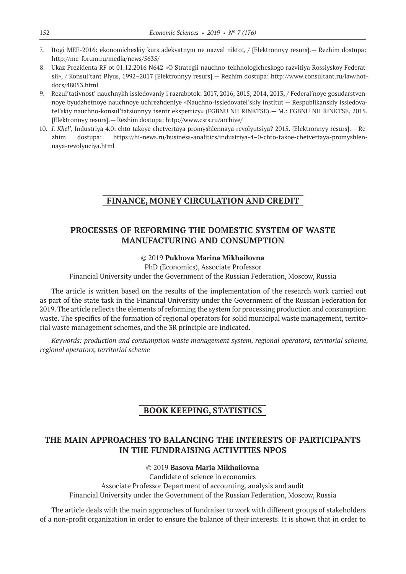- 7. Itogi MEF‑2016: ekonomicheskiy kurs adekvatnym ne nazval nikto!, / [Elektronnyy resurs].— Rezhim dostupa: http://me-forum.ru/media/news/5635/
- 8. Ukaz Prezidenta RF ot 01.12.2016 N642 «O Strategii nauchno-tekhnologicheskogo razvitiya Rossiyskoy Federatsii», / Konsul'tant Plyus, 1992–2017 [Elektronnyy resurs].— Rezhim dostupa: http://www.consultant.ru/law/hotdocs/48053.html
- 9. Rezul'tativnost' nauchnykh issledovaniy i razrabotok: 2017, 2016, 2015, 2014, 2013, / Federal'noye gosudarstvennoye byudzhetnoye nauchnoye uchrezhdeniye «Nauchno-issledovatel'skiy institut — Respublikanskiy issledovatel'skiy nauchno-konsul'tatsionnyy tsentr ekspertizy» (FGBNU NII RINKTSE).— M.: FGBNU NII RINKTSE, 2015. [Elektronnyy resurs].— Rezhim dostupa: http://www.csrs.ru/archive/
- 10. *I. Khel'*, Industriya 4.0: chto takoye chetvertaya promyshlennaya revolyutsiya? 2015. [Elektronnyy resurs].— Rezhim dostupa: https://hi-news.ru/business-analitics/industriya‑4–0-chto-takoe-chetvertaya-promyshlennaya-revolyuciya.html

# **FINANCE, MONEY CIRCULATION AND CREDIT**

## **PROCESSES OF REFORMING THE DOMESTIC SYSTEM OF WASTE MANUFACTURING AND CONSUMPTION**

#### ©© 2019 **Pukhova Marina Mikhailovna**

PhD (Economics), Associate Professor

Financial University under the Government of the Russian Federation, Moscow, Russia

The article is written based on the results of the implementation of the research work carried out as part of the state task in the Financial University under the Government of the Russian Federation for 2019. The article reflects the elements of reforming the system for processing production and consumption waste. The specifics of the formation of regional operators for solid municipal waste management, territorial waste management schemes, and the 3R principle are indicated.

*Keywords: production and consumption waste management system, regional operators, territorial scheme, regional operators, territorial scheme*

## **BOOK KEEPING, STATISTICS**

# **THE MAIN APPROACHES TO BALANCING THE INTERESTS OF PARTICIPANTS IN THE FUNDRAISING ACTIVITIES NPOS**

©© 2019 **Basova Maria Mikhailovna** Сandidate of science in economics Associate Professor Department of accounting, analysis and audit Financial University under the Government of the Russian Federation, Moscow, Russia

The article deals with the main approaches of fundraiser to work with different groups of stakeholders of a non-profit organization in order to ensure the balance of their interests. It is shown that in order to